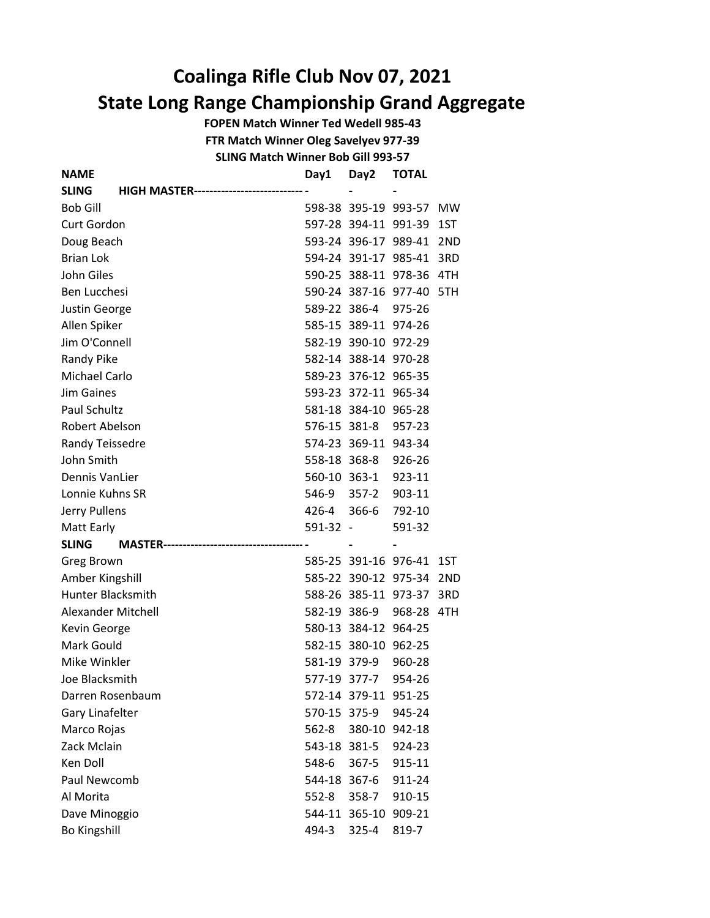## Coalinga Rifle Club Nov 07, 2021 State Long Range Championship Grand Aggregate

FOPEN Match Winner Ted Wedell 985-43

FTR Match Winner Oleg Savelyev 977-39

SLING Match Winner Bob Gill 993-57

| NAME                                              | Day1         | Day2                 | <b>TOTAL</b>             |           |
|---------------------------------------------------|--------------|----------------------|--------------------------|-----------|
| <b>SLING</b><br><b>HIGH MASTER---------------</b> |              |                      |                          |           |
| <b>Bob Gill</b>                                   |              |                      | 598-38 395-19 993-57     | <b>MW</b> |
| Curt Gordon                                       |              |                      | 597-28 394-11 991-39 1ST |           |
| Doug Beach                                        |              |                      | 593-24 396-17 989-41     | 2ND       |
| <b>Brian Lok</b>                                  |              |                      | 594-24 391-17 985-41 3RD |           |
| John Giles                                        |              |                      | 590-25 388-11 978-36 4TH |           |
| Ben Lucchesi                                      |              |                      | 590-24 387-16 977-40 5TH |           |
| Justin George                                     |              | 589-22 386-4         | 975-26                   |           |
| Allen Spiker                                      |              | 585-15 389-11 974-26 |                          |           |
| Jim O'Connell                                     |              | 582-19 390-10 972-29 |                          |           |
| <b>Randy Pike</b>                                 |              | 582-14 388-14 970-28 |                          |           |
| <b>Michael Carlo</b>                              |              | 589-23 376-12 965-35 |                          |           |
| <b>Jim Gaines</b>                                 |              | 593-23 372-11 965-34 |                          |           |
| Paul Schultz                                      |              | 581-18 384-10 965-28 |                          |           |
| Robert Abelson                                    |              | 576-15 381-8         | 957-23                   |           |
| Randy Teissedre                                   |              | 574-23 369-11 943-34 |                          |           |
| John Smith                                        |              | 558-18 368-8         | 926-26                   |           |
| Dennis VanLier                                    |              | 560-10 363-1         | 923-11                   |           |
| Lonnie Kuhns SR                                   |              | 546-9 357-2          | 903-11                   |           |
| Jerry Pullens                                     |              | 426-4 366-6          | 792-10                   |           |
| Matt Early                                        | $591-32 -$   |                      | 591-32                   |           |
| <b>SLING</b>                                      |              |                      |                          |           |
| Greg Brown                                        |              |                      | 585-25 391-16 976-41     | 1ST       |
| Amber Kingshill                                   |              |                      | 585-22 390-12 975-34 2ND |           |
| <b>Hunter Blacksmith</b>                          |              |                      | 588-26 385-11 973-37 3RD |           |
| Alexander Mitchell                                |              | 582-19 386-9         | 968-28 4TH               |           |
| Kevin George                                      |              | 580-13 384-12 964-25 |                          |           |
| Mark Gould                                        |              | 582-15 380-10 962-25 |                          |           |
| Mike Winkler                                      |              | 581-19 379-9         | 960-28                   |           |
| Joe Blacksmith                                    |              | 577-19 377-7         | 954-26                   |           |
| Darren Rosenbaum                                  |              | 572-14 379-11 951-25 |                          |           |
| Gary Linafelter                                   | 570-15 375-9 |                      | 945-24                   |           |
| Marco Rojas                                       | 562-8        | 380-10               | 942-18                   |           |
| Zack Mclain                                       | 543-18 381-5 |                      | 924-23                   |           |
| <b>Ken Doll</b>                                   | 548-6        | 367-5                | 915-11                   |           |
| Paul Newcomb                                      | 544-18 367-6 |                      | 911-24                   |           |
| Al Morita                                         | $552 - 8$    | 358-7                | 910-15                   |           |
| Dave Minoggio                                     |              | 544-11 365-10 909-21 |                          |           |
| <b>Bo Kingshill</b>                               | 494-3        | 325-4                | 819-7                    |           |